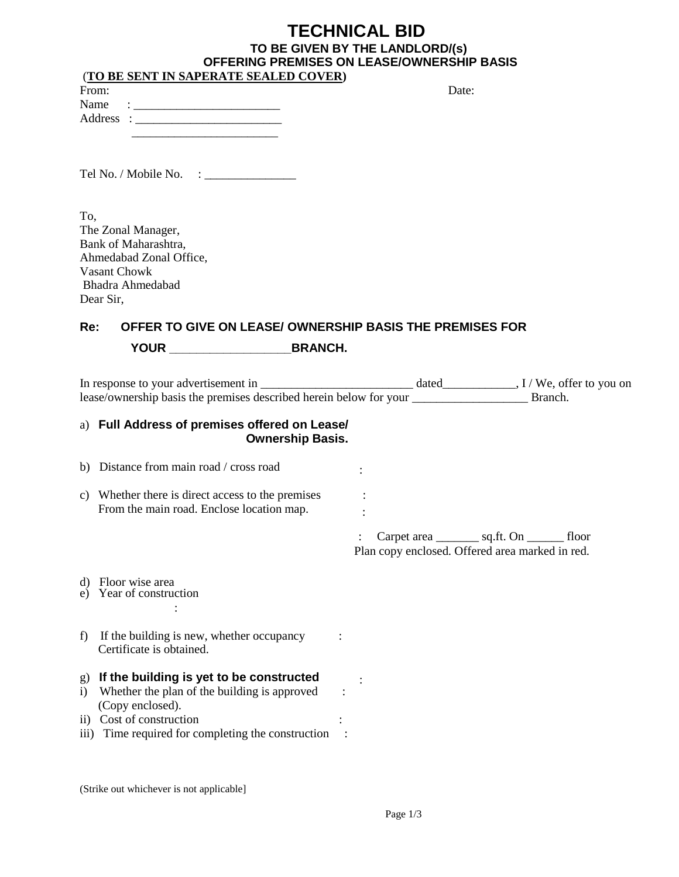# **TECHNICAL BID TO BE GIVEN BY THE LANDLORD/(s) OFFERING PREMISES ON LEASE/OWNERSHIP BASIS**

|                              | (TO BE SENT IN SAPERATE SEALED COVER)                                                    |                                                    |
|------------------------------|------------------------------------------------------------------------------------------|----------------------------------------------------|
| From:                        |                                                                                          | Date:                                              |
| Name                         |                                                                                          |                                                    |
|                              |                                                                                          |                                                    |
|                              |                                                                                          |                                                    |
|                              |                                                                                          |                                                    |
|                              |                                                                                          |                                                    |
|                              |                                                                                          |                                                    |
| To,                          |                                                                                          |                                                    |
|                              | The Zonal Manager,                                                                       |                                                    |
|                              | Bank of Maharashtra,                                                                     |                                                    |
|                              | Ahmedabad Zonal Office,<br>Vasant Chowk                                                  |                                                    |
|                              | Bhadra Ahmedabad                                                                         |                                                    |
|                              | Dear Sir,                                                                                |                                                    |
|                              |                                                                                          |                                                    |
| Re:                          | OFFER TO GIVE ON LEASE/ OWNERSHIP BASIS THE PREMISES FOR                                 |                                                    |
|                              | YOUR BRANCH.                                                                             |                                                    |
|                              |                                                                                          |                                                    |
|                              |                                                                                          |                                                    |
|                              | a) Full Address of premises offered on Lease/                                            |                                                    |
|                              | <b>Ownership Basis.</b>                                                                  |                                                    |
|                              | b) Distance from main road / cross road                                                  |                                                    |
|                              |                                                                                          |                                                    |
|                              | c) Whether there is direct access to the premises                                        |                                                    |
|                              | From the main road. Enclose location map.                                                |                                                    |
|                              |                                                                                          | Carpet area ___________ sq.ft. On __________ floor |
|                              |                                                                                          | Plan copy enclosed. Offered area marked in red.    |
|                              |                                                                                          |                                                    |
| d)                           | Floor wise area                                                                          |                                                    |
| e)                           | Year of construction                                                                     |                                                    |
|                              |                                                                                          |                                                    |
| f)                           | If the building is new, whether occupancy                                                |                                                    |
|                              | Certificate is obtained.                                                                 |                                                    |
|                              |                                                                                          |                                                    |
| $\mathbf{g}$<br>$\mathbf{i}$ | If the building is yet to be constructed<br>Whether the plan of the building is approved |                                                    |
|                              | (Copy enclosed).                                                                         |                                                    |
| 11)                          | Cost of construction                                                                     |                                                    |
| $\overline{111}$ )           | Time required for completing the construction                                            |                                                    |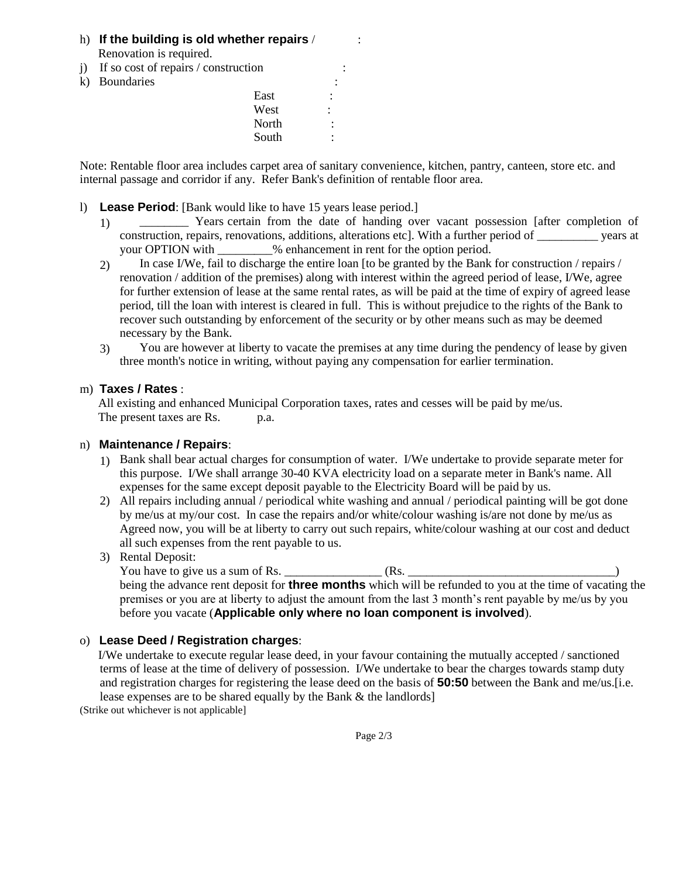#### h) If the building is old whether repairs /  $\cdot$ Renovation is required.

- j) If so cost of repairs  $\prime$  construction
- k) Boundaries

| ,,, |            |       |                           |  |
|-----|------------|-------|---------------------------|--|
| k)  | Boundaries |       |                           |  |
|     |            | East  | $\bullet$                 |  |
|     |            | West  | ٠<br>$\ddot{\phantom{a}}$ |  |
|     |            | North | ٠<br>٠                    |  |
|     |            | South | ٠<br>٠                    |  |
|     |            |       |                           |  |

Note: Rentable floor area includes carpet area of sanitary convenience, kitchen, pantry, canteen, store etc. and internal passage and corridor if any. Refer Bank's definition of rentable floor area.

- l) **Lease Period**: [Bank would like to have 15 years lease period.]
	- \_\_\_\_\_\_\_\_ Years certain from the date of handing over vacant possession [after completion of construction, repairs, renovations, additions, alterations etc]. With a further period of \_\_\_\_\_\_\_\_\_\_ years at your OPTION with \_\_\_\_\_\_\_\_\_% enhancement in rent for the option period. 1)
	- In case I/We, fail to discharge the entire loan [to be granted by the Bank for construction / repairs / renovation / addition of the premises) along with interest within the agreed period of lease, I/We, agree for further extension of lease at the same rental rates, as will be paid at the time of expiry of agreed lease period, till the loan with interest is cleared in full. This is without prejudice to the rights of the Bank to recover such outstanding by enforcement of the security or by other means such as may be deemed necessary by the Bank. 2)
	- You are however at liberty to vacate the premises at any time during the pendency of lease by given three month's notice in writing, without paying any compensation for earlier termination. 3)

#### m) **Taxes / Rates** :

 All existing and enhanced Municipal Corporation taxes, rates and cesses will be paid by me/us. The present taxes are Rs. p.a.

#### n) **Maintenance / Repairs**:

- 1) Bank shall bear actual charges for consumption of water. I/We undertake to provide separate meter for this purpose. I/We shall arrange 30-40 KVA electricity load on a separate meter in Bank's name. All expenses for the same except deposit payable to the Electricity Board will be paid by us.
- 2) All repairs including annual / periodical white washing and annual / periodical painting will be got done by me/us at my/our cost. In case the repairs and/or white/colour washing is/are not done by me/us as Agreed now, you will be at liberty to carry out such repairs, white/colour washing at our cost and deduct all such expenses from the rent payable to us.

#### 3) Rental Deposit:

You have to give us a sum of Rs. \_\_\_\_\_\_\_\_\_\_\_\_\_\_\_\_ (Rs. \_\_\_\_\_\_\_\_\_\_\_\_\_\_\_\_\_\_\_\_\_\_\_\_\_\_\_\_\_\_\_\_\_\_) being the advance rent deposit for **three months** which will be refunded to you at the time of vacating the premises or you are at liberty to adjust the amount from the last 3 month's rent payable by me/us by you before you vacate (**Applicable only where no loan component is involved**).

#### o) **Lease Deed / Registration charges**:

 I/We undertake to execute regular lease deed, in your favour containing the mutually accepted / sanctioned terms of lease at the time of delivery of possession. I/We undertake to bear the charges towards stamp duty and registration charges for registering the lease deed on the basis of **50:50** between the Bank and me/us.[i.e. lease expenses are to be shared equally by the Bank & the landlords]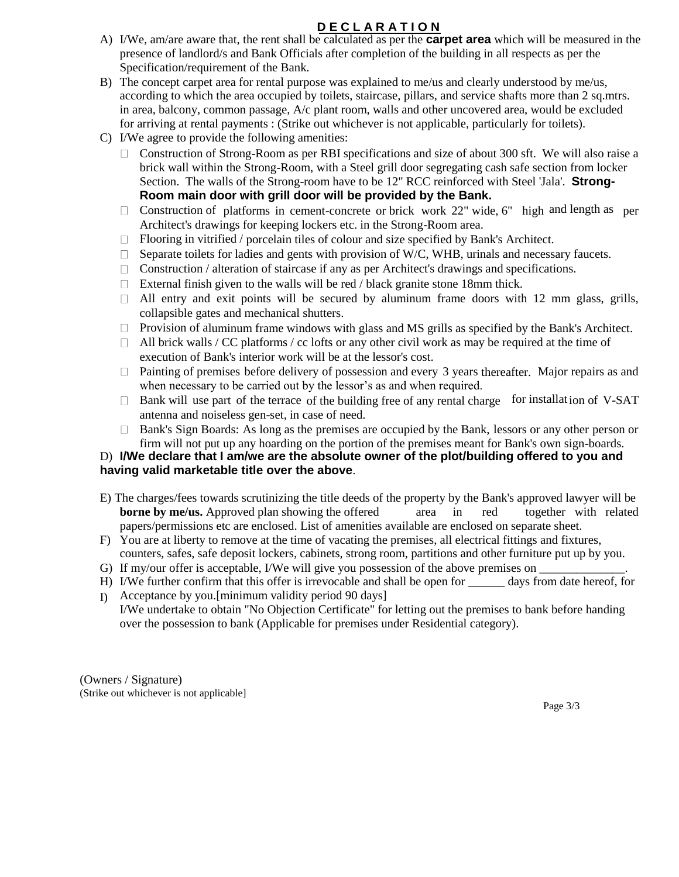## **D E C L A R A T I O N**

- A) I/We, am/are aware that, the rent shall be calculated as per the **carpet area** which will be measured in the presence of landlord/s and Bank Officials after completion of the building in all respects as per the Specification/requirement of the Bank.
- B) The concept carpet area for rental purpose was explained to me/us and clearly understood by me/us, according to which the area occupied by toilets, staircase, pillars, and service shafts more than 2 sq.mtrs. in area, balcony, common passage, A/c plant room, walls and other uncovered area, would be excluded for arriving at rental payments : (Strike out whichever is not applicable, particularly for toilets).
- C) I/We agree to provide the following amenities:
	- $\Box$  Construction of Strong-Room as per RBI specifications and size of about 300 sft. We will also raise a brick wall within the Strong-Room, with a Steel grill door segregating cash safe section from locker Section. The walls of the Strong-room have to be 12" RCC reinforced with Steel 'Jala'. **Strong-Room main door with grill door will be provided by the Bank.**
	- Construction of platforms in cement-concrete or brick work 22" wide, 6" high and length as per  $\Box$ Architect's drawings for keeping lockers etc. in the Strong-Room area.
	- Flooring in vitrified / porcelain tiles of colour and size specified by Bank's Architect.
	- $\Box$  Separate toilets for ladies and gents with provision of W/C, WHB, urinals and necessary faucets.
	- $\Box$  Construction / alteration of staircase if any as per Architect's drawings and specifications.
	- $\Box$  External finish given to the walls will be red / black granite stone 18mm thick.
	- $\Box$  All entry and exit points will be secured by aluminum frame doors with 12 mm glass, grills, collapsible gates and mechanical shutters.
	- Provision of aluminum frame windows with glass and MS grills as specified by the Bank's Architect.
	- $\Box$  All brick walls / CC platforms / cc lofts or any other civil work as may be required at the time of execution of Bank's interior work will be at the lessor's cost.
	- Painting of premises before delivery of possession and every 3 years thereafter. Major repairs as and when necessary to be carried out by the lessor's as and when required.
	- Bank will use part of the terrace of the building free of any rental charge for installation of V-SAT antenna and noiseless gen-set, in case of need.
	- Bank's Sign Boards: As long as the premises are occupied by the Bank, lessors or any other person or firm will not put up any hoarding on the portion of the premises meant for Bank's own sign-boards.

#### D) **I/We declare that I am/we are the absolute owner of the plot/building offered to you and having valid marketable title over the above**.

- E) The charges/fees towards scrutinizing the title deeds of the property by the Bank's approved lawyer will be **borne by me/us.** Approved plan showing the offered area in red together with related papers/permissions etc are enclosed. List of amenities available are enclosed on separate sheet.
- F) You are at liberty to remove at the time of vacating the premises, all electrical fittings and fixtures,
- counters, safes, safe deposit lockers, cabinets, strong room, partitions and other furniture put up by you.
- G) If my/our offer is acceptable, I/We will give you possession of the above premises on
- H) I/We further confirm that this offer is irrevocable and shall be open for \_\_\_\_\_\_ days from date hereof, for Acceptance by you.[minimum validity period 90 days] I)
- I/We undertake to obtain "No Objection Certificate" for letting out the premises to bank before handing over the possession to bank (Applicable for premises under Residential category).

(Owners / Signature) (Strike out whichever is not applicable]

Page  $3/3$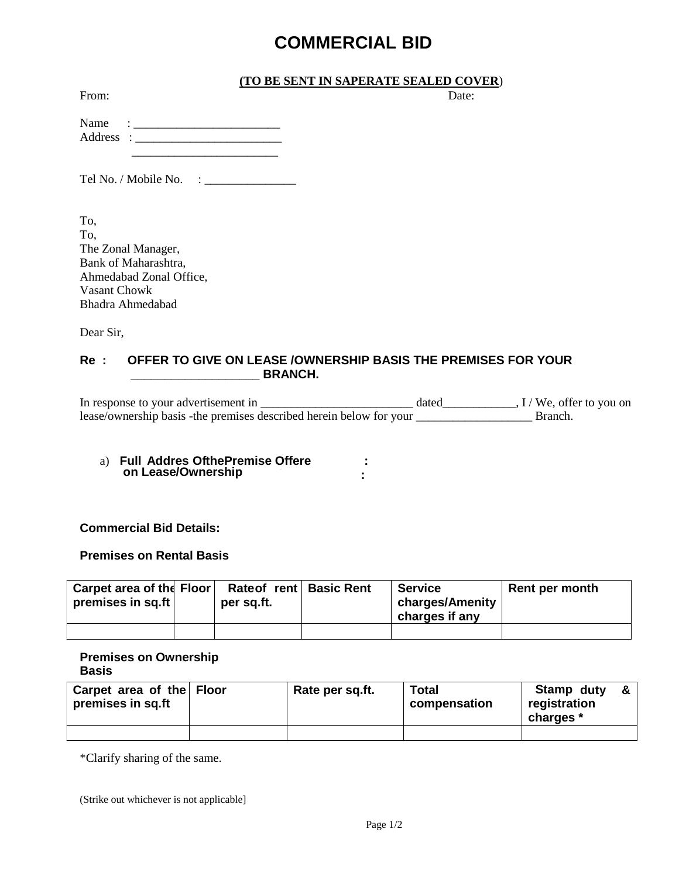# **COMMERCIAL BID**

#### **(TO BE SENT IN SAPERATE SEALED COVER**)

From: Date:

| Name      | ٠<br>٠ |
|-----------|--------|
| Address : |        |
|           |        |

Tel No. / Mobile No. : \_\_\_\_\_\_\_\_\_\_\_\_\_\_\_

To, To, The Zonal Manager, Bank of Maharashtra, Ahmedabad Zonal Office, Vasant Chowk Bhadra Ahmedabad

Dear Sir,

### **Re : OFFER TO GIVE ON LEASE /OWNERSHIP BASIS THE PREMISES FOR YOUR \_\_\_\_\_\_\_\_\_\_\_\_\_\_\_\_\_\_\_ BRANCH.**

In response to your advertisement in \_\_\_\_\_\_\_\_\_\_\_\_\_\_\_\_\_\_\_\_\_\_\_\_\_ dated\_\_\_\_\_\_\_\_\_\_\_\_, I / We, offer to you on lease/ownership basis -the premises described herein below for your \_\_\_\_\_\_\_\_\_\_\_\_\_\_\_\_\_\_\_ Branch.

> **: :**

a) Full Addres Ofthe Premise Offere **d s s on Lease/Ownership** 

**Commercial Bid Details:** 

**Premises on Rental Basis** 

| Carpet area of the Floor<br>premises in sq.ft | Rateof rent Basic Rent<br>per sq.ft. | <b>Service</b><br>charges/Amenity<br>charges if any | Rent per month |
|-----------------------------------------------|--------------------------------------|-----------------------------------------------------|----------------|
|                                               |                                      |                                                     |                |

**Premises on Ownership Basis** 

| Carpet area of the Floor<br>premises in sq.ft | Rate per sq.ft. | <b>Total</b><br>compensation | Stamp duty<br>registration<br>charges * | & |
|-----------------------------------------------|-----------------|------------------------------|-----------------------------------------|---|
|                                               |                 |                              |                                         |   |

\*Clarify sharing of the same.